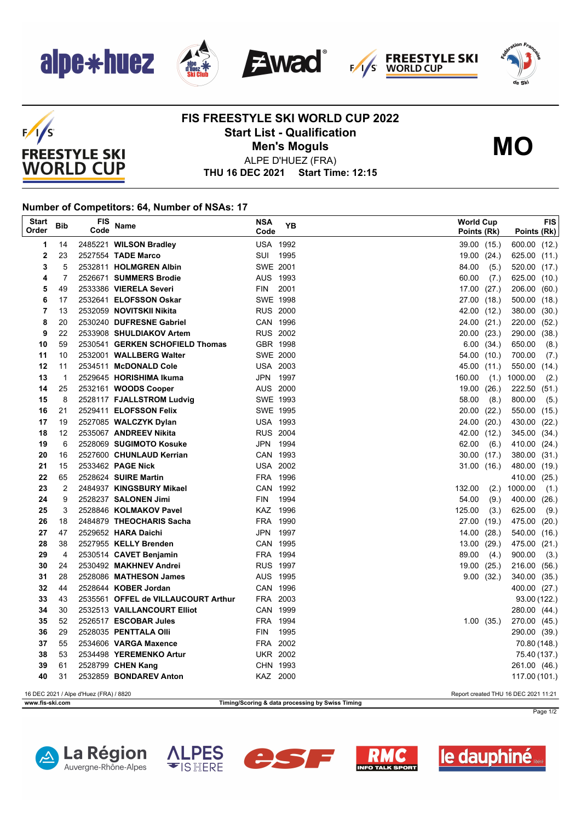

 $F/I/S$ 

**FREESTYLE SKI WORLD CUP** 







## **FIS FREESTYLE SKI WORLD CUP 2022 Start List - Qualification Men's Moguls MO**



ALPE D'HUEZ (FRA)

**THU 16 DEC 2021 Start Time: 12:15**

## **Number of Competitors: 64, Number of NSAs: 17**

| <b>Start</b><br>Order                                                          | <b>Bib</b>                                                          | <b>FIS</b><br>Code | Name                                             | <b>NSA</b><br>Code     | YΒ   |  | <b>World Cup</b><br>Points (Rk) |                | Points (Rk)                   | FIS  |
|--------------------------------------------------------------------------------|---------------------------------------------------------------------|--------------------|--------------------------------------------------|------------------------|------|--|---------------------------------|----------------|-------------------------------|------|
| 1                                                                              | 14                                                                  |                    | 2485221 WILSON Bradley                           | <b>USA 1992</b>        |      |  | 39.00 (15.)                     |                | 600.00 (12.)                  |      |
| $\mathbf 2$                                                                    | 23                                                                  |                    | 2527554 TADE Marco                               | SUI                    | 1995 |  | 19.00                           | (24.)          | 625.00 (11.)                  |      |
| 3                                                                              | 5                                                                   |                    | 2532811 HOLMGREN Albin                           | SWE 2001               |      |  | 84.00                           | (5.)           | 520.00 (17.)                  |      |
| 4                                                                              | $\overline{7}$                                                      |                    | 2526671 SUMMERS Brodie                           | AUS 1993               |      |  | 60.00                           | (7)            | 625.00 (10.)                  |      |
| 5                                                                              | 49                                                                  |                    | 2533386 VIERELA Severi                           | <b>FIN</b>             | 2001 |  | 17.00                           | (27.)          | 206.00 (60.)                  |      |
| 6                                                                              | 17                                                                  |                    | 2532641 ELOFSSON Oskar                           | <b>SWE 1998</b>        |      |  | 27.00 (18.)                     |                | 500.00 (18.)                  |      |
| $\overline{7}$                                                                 | 13                                                                  |                    | 2532059 NOVITSKII Nikita                         | <b>RUS 2000</b>        |      |  | 42.00 (12.)                     |                | 380.00 (30.)                  |      |
| 8                                                                              | 20                                                                  |                    | 2530240 DUFRESNE Gabriel                         | CAN 1996               |      |  | 24.00                           | (21.)          | 220.00 (52.)                  |      |
| 9                                                                              | 22                                                                  |                    | 2533908 SHULDIAKOV Artem                         | <b>RUS 2002</b>        |      |  | 20.00 (23.)                     |                | 290.00 (38.)                  |      |
| 10                                                                             | 59                                                                  |                    | 2530541 GERKEN SCHOFIELD Thomas                  | GBR 1998               |      |  | 6.00                            | (34.)          | 650.00                        | (8.) |
| 11                                                                             | 10                                                                  |                    | 2532001 WALLBERG Walter                          | SWE 2000               |      |  | 54.00 (10.)                     |                | 700.00                        | (7)  |
| 12                                                                             | 11                                                                  |                    | 2534511 McDONALD Cole                            | <b>USA 2003</b>        |      |  | 45.00                           | (11.)          | 550.00 (14.)                  |      |
| 13                                                                             | $\mathbf{1}$                                                        |                    | 2529645 HORISHIMA Ikuma                          | JPN 1997               |      |  | 160.00                          | (1.)           | 1000.00                       | (2.) |
| 14                                                                             | 25                                                                  |                    | 2532161 WOODS Cooper                             | AUS 2000               |      |  | 19.00                           | (26.)          | 222.50 (51.)                  |      |
| 15                                                                             | 8                                                                   |                    | 2528117 FJALLSTROM Ludvig                        | SWE 1993               |      |  | 58.00                           | (8.)           | 800.00                        | (5.) |
| 16                                                                             | 21                                                                  |                    | 2529411 ELOFSSON Felix                           | SWE 1995               |      |  | 20.00                           | (22.)          | 550.00 (15.)                  |      |
| 17                                                                             | 19                                                                  |                    | 2527085 WALCZYK Dylan                            | <b>USA 1993</b>        |      |  | 24.00                           | (20.)          | 430.00 (22.)                  |      |
| 18                                                                             | 12                                                                  |                    | 2535067 ANDREEV Nikita                           | <b>RUS 2004</b>        |      |  | 42.00                           | (12.)          | 345.00 (34.)                  |      |
| 19                                                                             | 6                                                                   |                    | 2528069 SUGIMOTO Kosuke                          | JPN 1994               |      |  | 62.00                           | (6.)           | 410.00 (24.)                  |      |
| 20                                                                             | 16                                                                  |                    | 2527600 CHUNLAUD Kerrian                         | CAN 1993               |      |  | $30.00$ $(17.)$                 |                | 380.00 (31.)                  |      |
| 21                                                                             | 15                                                                  |                    | 2533462 PAGE Nick                                | <b>USA 2002</b>        |      |  | 31.00 (16.)                     |                | 480.00 (19.)                  |      |
| 22                                                                             | 65                                                                  |                    | 2528624 SUIRE Martin                             | FRA 1996               |      |  |                                 |                | 410.00 (25.)                  |      |
| 23                                                                             | $\overline{2}$                                                      |                    | 2484937 KINGSBURY Mikael                         | CAN 1992               |      |  | 132.00                          | (2.)           | 1000.00                       | (1.) |
| 24                                                                             | 9                                                                   |                    | 2528237 SALONEN Jimi                             | <b>FIN</b>             | 1994 |  | 54.00                           | (9.)           | 400.00 (26.)                  |      |
| 25                                                                             | 3                                                                   |                    | 2528846 KOLMAKOV Pavel                           | KAZ 1996               |      |  | 125.00                          | (3.)           | 625.00                        | (9.) |
| 26                                                                             | 18                                                                  |                    | 2484879 THEOCHARIS Sacha                         | FRA 1990               |      |  | 27.00                           | (19.)          | 475.00 (20.)                  |      |
| 27                                                                             | 47                                                                  |                    | 2529652 HARA Daichi                              | JPN 1997               |      |  | 14.00                           | (28.)          | 540.00 (16.)                  |      |
| 28                                                                             | 38                                                                  |                    | 2527955 KELLY Brenden                            | CAN 1995               |      |  | 13.00                           | (29.)          | 475.00 (21.)                  |      |
| 29                                                                             | 4                                                                   |                    | 2530514 CAVET Benjamin                           | FRA 1994               |      |  | 89.00                           | (4.)           | 900.00                        | (3.) |
| 30                                                                             | 24                                                                  |                    | 2530492 MAKHNEV Andrei                           | <b>RUS 1997</b>        |      |  | 19.00                           | (25.)          | 216.00 (56.)                  |      |
| 31                                                                             | 28                                                                  |                    | 2528086 MATHESON James                           | AUS 1995               |      |  |                                 | 9.00(32.)      | 340.00 (35.)                  |      |
| 32                                                                             | 44                                                                  |                    | 2528644 KOBER Jordan                             | CAN 1996               |      |  |                                 |                | 400.00 (27.)                  |      |
| 33                                                                             | 43                                                                  |                    | 2535561 OFFEL de VILLAUCOURT Arthur              | FRA 2003               |      |  |                                 |                | 93.00 (122.)                  |      |
| 34                                                                             | 30                                                                  |                    | 2532513 VAILLANCOURT Elliot                      | CAN 1999               |      |  |                                 |                | 280.00 (44.)                  |      |
| 35<br>36                                                                       | 52<br>29                                                            |                    | 2526517 ESCOBAR Jules<br>2528035 PENTTALA Olli   | FRA 1994<br><b>FIN</b> | 1995 |  |                                 | $1.00$ $(35.)$ | 270.00 (45.)                  |      |
|                                                                                |                                                                     |                    |                                                  | FRA 2002               |      |  |                                 |                | 290.00 (39.)                  |      |
| 37<br>38                                                                       | 55<br>53                                                            |                    | 2534606 VARGA Maxence<br>2534498 YEREMENKO Artur | <b>UKR 2002</b>        |      |  |                                 |                | 70.80 (148.)                  |      |
| 39                                                                             | 61                                                                  |                    | 2528799 CHEN Kang                                | CHN 1993               |      |  |                                 |                | 75.40 (137.)                  |      |
| 40                                                                             | 31                                                                  |                    | 2532859 BONDAREV Anton                           | KAZ 2000               |      |  |                                 |                | 261.00 (46.)<br>117.00 (101.) |      |
|                                                                                |                                                                     |                    |                                                  |                        |      |  |                                 |                |                               |      |
| 16 DEC 2021 / Alpe d'Huez (FRA) / 8820<br>Report created THU 16 DEC 2021 11:21 |                                                                     |                    |                                                  |                        |      |  |                                 |                |                               |      |
|                                                                                | Timing/Scoring & data processing by Swiss Timing<br>www.fis-ski.com |                    |                                                  |                        |      |  |                                 |                |                               |      |

Page 1/2